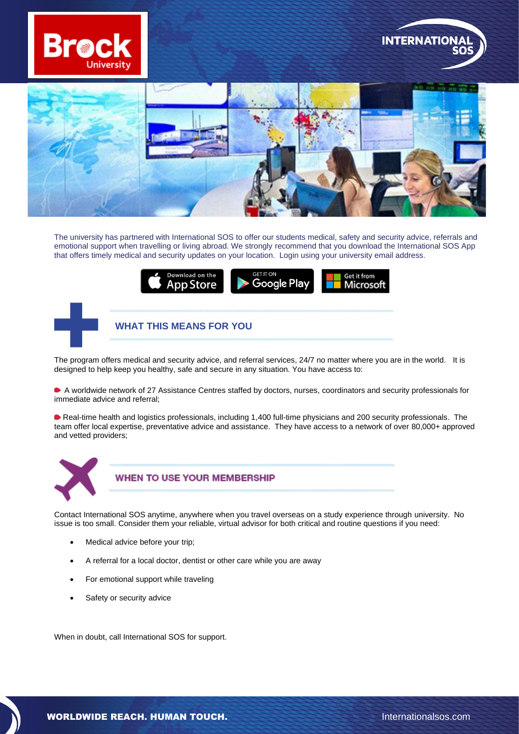





The university has partnered with International SOS to offer our students medical, safety and security advice, referrals and emotional support when travelling or living abroad. We strongly recommend that you download the International SOS App that offers timely medical and security updates on your location. Login using your university email address.



The program offers medical and security advice, and referral services, 24/7 no matter where you are in the world. It is designed to help keep you healthy, safe and secure in any situation. You have access to:

A worldwide network of 27 Assistance Centres staffed by doctors, nurses, coordinators and security professionals for immediate advice and referral;

Real-time health and logistics professionals, including 1,400 full-time physicians and 200 security professionals. The team offer local expertise, preventative advice and assistance. They have access to a network of over 80,000+ approved and vetted providers;



**WHEN TO USE YOUR MEMBERSHIP** 

Contact International SOS anytime, anywhere when you travel overseas on a study experience through university. No issue is too small. Consider them your reliable, virtual advisor for both critical and routine questions if you need:

- Medical advice before your trip;
- A referral for a local doctor, dentist or other care while you are away
- For emotional support while traveling
- Safety or security advice

When in doubt, call International SOS for support.